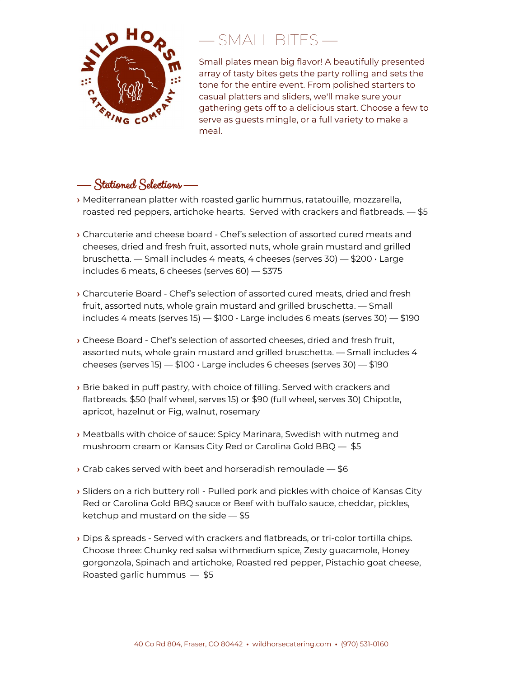

## — SMALL BITES —

Small plates mean big flavor! A beautifully presented array of tasty bites gets the party rolling and sets the tone for the entire event. From polished starters to casual platters and sliders, we'll make sure your gathering gets off to a delicious start. Choose a few to serve as guests mingle, or a full variety to make a meal.

## — Stationed Selections —

- **›** Mediterranean platter with roasted garlic hummus, ratatouille, mozzarella, roasted red peppers, artichoke hearts. Served with crackers and flatbreads. — \$5
- **›** Charcuterie and cheese board Chef's selection of assorted cured meats and cheeses, dried and fresh fruit, assorted nuts, whole grain mustard and grilled bruschetta. — Small includes 4 meats, 4 cheeses (serves 30) — \$200  $\cdot$  Large includes 6 meats, 6 cheeses (serves 60) — \$375
- **›** Charcuterie Board Chef's selection of assorted cured meats, dried and fresh fruit, assorted nuts, whole grain mustard and grilled bruschetta. — Small includes 4 meats (serves 15)  $-$  \$100  $\cdot$  Large includes 6 meats (serves 30)  $-$  \$190
- **›** Cheese Board Chef's selection of assorted cheeses, dried and fresh fruit, assorted nuts, whole grain mustard and grilled bruschetta. — Small includes 4 cheeses (serves 15)  $-$  \$100  $\cdot$  Large includes 6 cheeses (serves 30)  $-$  \$190
- **›** Brie baked in puff pastry, with choice of filling. Served with crackers and flatbreads. \$50 (half wheel, serves 15) or \$90 (full wheel, serves 30) Chipotle, apricot, hazelnut or Fig, walnut, rosemary
- **›** Meatballs with choice of sauce: Spicy Marinara, Swedish with nutmeg and mushroom cream or Kansas City Red or Carolina Gold BBQ — \$5
- **›** Crab cakes served with beet and horseradish remoulade \$6
- **›** Sliders on a rich buttery roll Pulled pork and pickles with choice of Kansas City Red or Carolina Gold BBQ sauce or Beef with buffalo sauce, cheddar, pickles, ketchup and mustard on the side — \$5
- **›** Dips & spreads Served with crackers and flatbreads, or tri-color tortilla chips. Choose three: Chunky red salsa withmedium spice, Zesty guacamole, Honey gorgonzola, Spinach and artichoke, Roasted red pepper, Pistachio goat cheese, Roasted garlic hummus — \$5